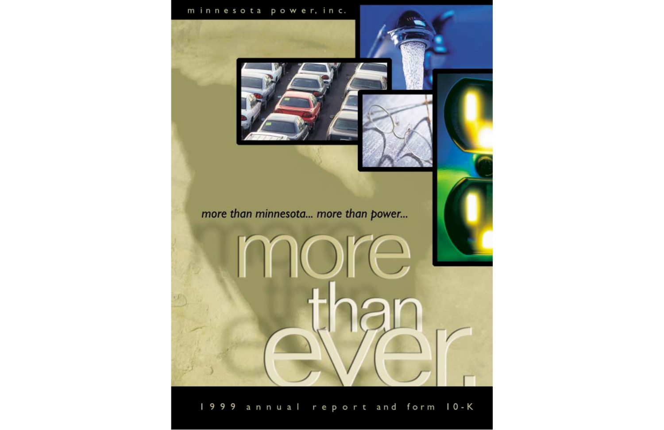### minnesota power, inc.



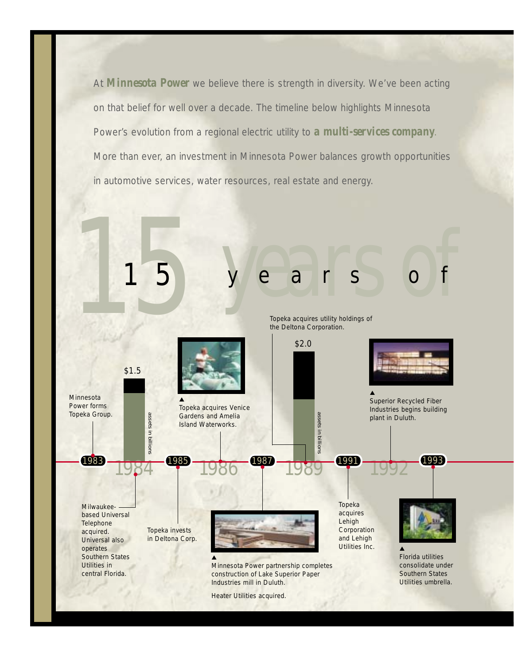At **Minnesota Power** we believe there is strength in diversity. We've been acting on that belief for well over a decade. The timeline below highlights Minnesota Power's evolution from a regional electric utility to *a multi-services company*. More than ever, an investment in Minnesota Power balances growth opportunities in automotive services, water resources, real estate and energy.

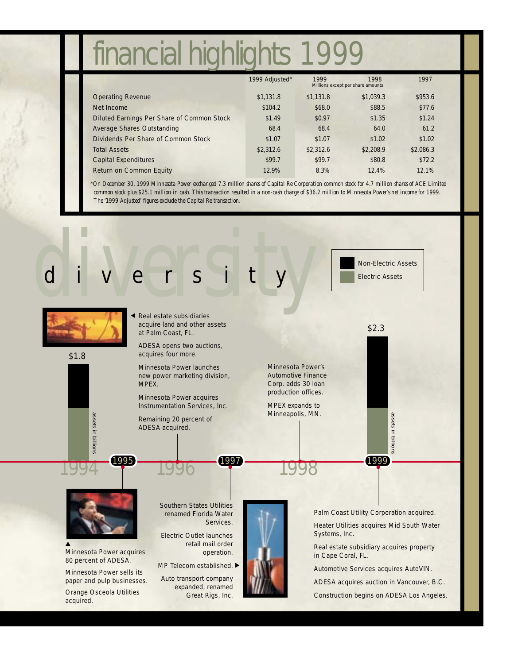### financial highlights 1999

|                                            | 1999 Adjusted* | 1999<br>1998<br>Millions except per share amounts |           | 1997      |
|--------------------------------------------|----------------|---------------------------------------------------|-----------|-----------|
| <b>Operating Revenue</b>                   | \$1.131.8      | \$1,131.8                                         | \$1,039.3 | \$953.6   |
| Net Income                                 | \$104.2        | \$68.0                                            | \$88.5    | \$77.6    |
| Diluted Earnings Per Share of Common Stock | \$1.49         | \$0.97                                            | \$1.35    | \$1.24    |
| <b>Average Shares Outstanding</b>          | 68.4           | 68.4                                              | 64.0      | 61.2      |
| Dividends Per Share of Common Stock        | \$1.07         | \$1.07                                            | \$1.02    | \$1.02    |
| <b>Total Assets</b>                        | \$2,312.6      | \$2,312.6                                         | \$2,208.9 | \$2,086.3 |
| <b>Capital Expenditures</b>                | \$99.7         | \$99.7                                            | \$80.8    | \$72.2\$  |
| <b>Return on Common Equity</b>             | 12.9%          | 8.3%                                              | 12.4%     | 12.1%     |

\**On December 30, 1999 Minnesota Power exchanged 7.3 million shares of Capital Re Corporation common stock for 4.7 million shares of ACE Limited common stock plus \$25.1 million in cash. This transaction resulted in a non-cash charge of \$36.2 million to Minnesota Power's net income for 1999. The '1999 Adjusted' figures exclude the Capital Re transaction.*

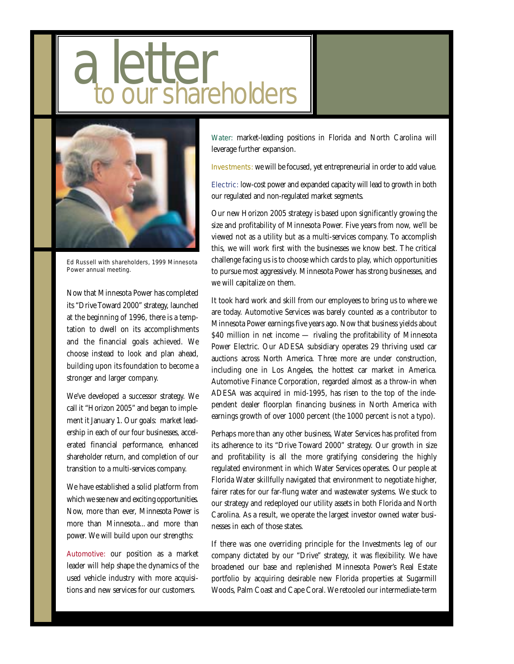# shareholders



Ed Russell with shareholders, 1999 Minnesota Power annual meeting.

Now that Minnesota Power has completed its "Drive Toward 2000" strategy, launched at the beginning of 1996, there is a temptation to dwell on its accomplishments and the financial goals achieved. We choose instead to look and plan ahead, building upon its foundation to become a stronger and larger company.

We've developed a successor strategy. We call it "Horizon 2005" and began to implement it January 1. Our goals: market leadership in each of our four businesses, accelerated financial performance, enhanced shareholder return, and completion of our transition to a multi-services company.

We have established a solid platform from which we see new and exciting opportunities. Now, more than ever, Minnesota Power is more than Minnesota... and more than power. We will build upon our strengths:

Automotive: our position as a market leader will help shape the dynamics of the used vehicle industry with more acquisitions and new services for our customers.

Water: market-leading positions in Florida and North Carolina will leverage further expansion.

Investments: we will be focused, yet entrepreneurial in order to add value.

Electric: low-cost power and expanded capacity will lead to growth in both our regulated and non-regulated market segments.

Our new Horizon 2005 strategy is based upon significantly growing the size and profitability of Minnesota Power. Five years from now, we'll be viewed not as a utility but as a multi-services company. To accomplish this, we will work first with the businesses we know best. The critical challenge facing us is to choose which cards to play, which opportunities to pursue most aggressively. Minnesota Power has strong businesses, and we will capitalize on them.

It took hard work and skill from our employees to bring us to where we are today. Automotive Services was barely counted as a contributor to Minnesota Power earnings five years ago. Now that business yields about \$40 million in net income - rivaling the profitability of Minnesota Power Electric. Our ADESA subsidiary operates 29 thriving used car auctions across North America. Three more are under construction, including one in Los Angeles, the hottest car market in America. Automotive Finance Corporation, regarded almost as a throw-in when ADESA was acquired in mid-1995, has risen to the top of the independent dealer floorplan financing business in North America with earnings growth of over 1000 percent (the 1000 percent is not a typo).

Perhaps more than any other business, Water Services has profited from its adherence to its "Drive Toward 2000" strategy. Our growth in size and profitability is all the more gratifying considering the highly regulated environment in which Water Services operates. Our people at Florida Water skillfully navigated that environment to negotiate higher, fairer rates for our far-flung water and wastewater systems. We stuck to our strategy and redeployed our utility assets in both Florida and North Carolina. As a result, we operate the largest investor owned water businesses in each of those states.

If there was one overriding principle for the Investments leg of our company dictated by our "Drive" strategy, it was flexibility. We have broadened our base and replenished Minnesota Power's Real Estate portfolio by acquiring desirable new Florida properties at Sugarmill Woods, Palm Coast and Cape Coral. We retooled our intermediate-term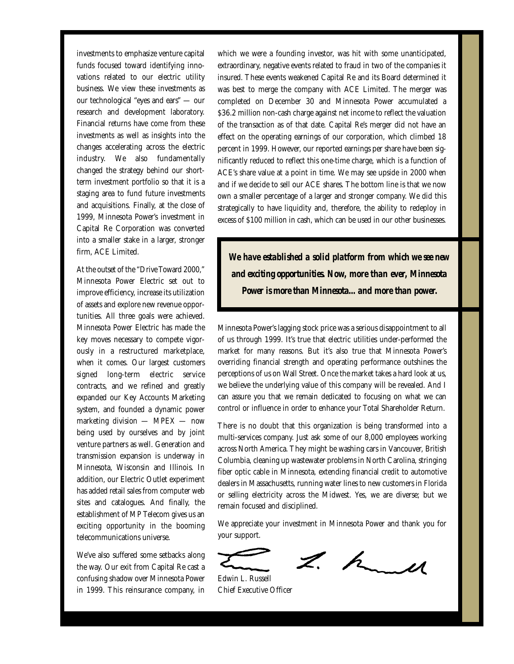investments to emphasize venture capital funds focused toward identifying innovations related to our electric utility business. We view these investments as our technological "eyes and ears" — our research and development laboratory. Financial returns have come from these investments as well as insights into the changes accelerating across the electric industry. We also fundamentally changed the strategy behind our shortterm investment portfolio so that it is a staging area to fund future investments and acquisitions. Finally, at the close of 1999, Minnesota Power's investment in Capital Re Corporation was converted into a smaller stake in a larger, stronger firm, ACE Limited.

At the outset of the "Drive Toward 2000," Minnesota Power Electric set out to improve efficiency, increase its utilization of assets and explore new revenue opportunities. All three goals were achieved. Minnesota Power Electric has made the key moves necessary to compete vigorously in a restructured marketplace, when it comes. Our largest customers signed long-term electric service contracts, and we refined and greatly expanded our Key Accounts Marketing system, and founded a dynamic power marketing division — MPEX — now being used by ourselves and by joint venture partners as well. Generation and transmission expansion is underway in Minnesota, Wisconsin and Illinois. In addition, our Electric Outlet experiment has added retail sales from computer web sites and catalogues. And finally, the establishment of MP Telecom gives us an exciting opportunity in the booming telecommunications universe.

We've also suffered some setbacks along the way. Our exit from Capital Re cast a confusing shadow over Minnesota Power in 1999. This reinsurance company, in which we were a founding investor, was hit with some unanticipated, extraordinary, negative events related to fraud in two of the companies it insured. These events weakened Capital Re and its Board determined it was best to merge the company with ACE Limited. The merger was completed on December 30 and Minnesota Power accumulated a \$36.2 million non-cash charge against net income to reflect the valuation of the transaction as of that date. Capital Re's merger did not have an effect on the operating earnings of our corporation, which climbed 18 percent in 1999. However, our reported earnings per share have been significantly reduced to reflect this one-time charge, which is a function of ACE's share value at a point in time. We may see upside in 2000 when and if we decide to sell our ACE shares. The bottom line is that we now own a smaller percentage of a larger and stronger company. We did this strategically to have liquidity and, therefore, the ability to redeploy in excess of \$100 million in cash, which can be used in our other businesses.

*We have established a solid platform from which we see new and exciting opportunities. Now, more than ever, Minnesota Power is more than Minnesota... and more than power.*

Minnesota Power's lagging stock price was a serious disappointment to all of us through 1999. It's true that electric utilities under-performed the market for many reasons. But it's also true that Minnesota Power's overriding financial strength and operating performance outshines the perceptions of us on Wall Street. Once the market takes a hard look at us, we believe the underlying value of this company will be revealed. And I can assure you that we remain dedicated to focusing on what we can control or influence in order to enhance your Total Shareholder Return.

There is no doubt that this organization is being transformed into a multi-services company. Just ask some of our 8,000 employees working across North America. They might be washing cars in Vancouver, British Columbia, cleaning up wastewater problems in North Carolina, stringing fiber optic cable in Minnesota, extending financial credit to automotive dealers in Massachusetts, running water lines to new customers in Florida or selling electricity across the Midwest. Yes, we are diverse; but we remain focused and disciplined.

We appreciate your investment in Minnesota Power and thank you for your support.

 $2.1$ 

Edwin L. Russell Chief Executive Officer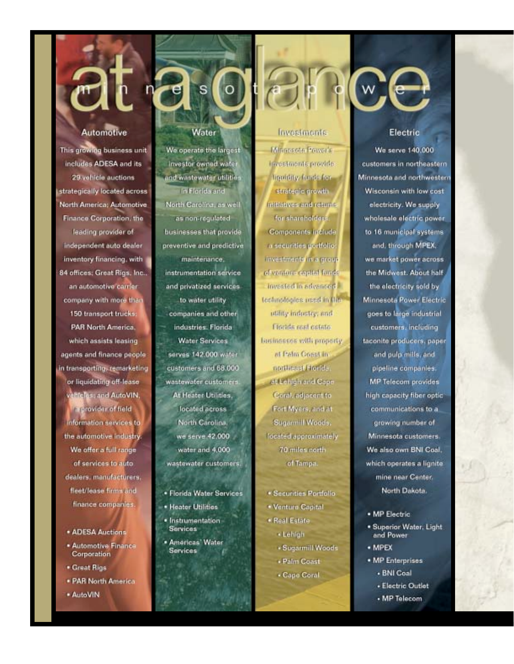### **Automotive**

This growing business unit includes ADESA and its 29 vehicle auctions strategically located across North America: Automotive Finance Corporation, the leading provider of independent auto dealer inventory financing, with 84 offices; Great Rigs, Inc., an automotive carrier company with more than 150 transport trucks: **PAR North America.** which assists leasing agents and finance people in transporting, remarketing or liquidating off-lease valificies: and AutoVIN, a provider of field information services to the automotive industry. We offer a full range of services to auto dealers, manufacturers, **fleet/lease firms and** finance companies.

- · ADESA Auctions
- · Automotive Finance Corporation
- · Great Rigs
- · PAR North America
- \* AutoVIN

### Water

 $\mathsf{s}$ 

We operate the largest investor owned water and wastewater utilities In Florida and North Carolina, as well as non-regulated businesses that provide preventive and predictive maintenance. instrumentation service and privatized services. to water utility companies and other industries. Florida **Water Services** serves 142.000 water customers and 68,000 wastewater customers At Heater Utilities, located across North Carolina. we serve 42,000 water and 4,000 wastewater customers.

- · Florida Water Services
- · Heater Utilities
- · Instrumentation **Services**
- · Americas' Water **Services**

### Invostments

**Minorsoto Power's** Investments provide liquidity, funds for strategic growth Initiatives and returns for shareholders. Companents include a securities portfolio investments in a group of venture capital funds Invested in advanced. technologies used in the utility industry; and Florida roal colate businesses with property. at Palm Coast in northeast Florida. at Lehigh and Cape Garal, adjacent to Fort Myers, and at Sugarmill Wood's, Tocated approximately 70 miles north of Tampa.

- \* Securities Portfolio
- . Venture Capital
- · Real Estate \* Lehigh
	- · Sugarmill Woods
	- · Palm Coast
	- . Cape Coral

### $(w)$

### Electric

**We serve 140,000** customers in northeastern Minnesota and northwestern Wisconsin with low cost electricity. We supply wholesale electric power to 16 municipal systems and, through MPEX. we market power across the Midwest. About half the electricity sold by Minnesota Power Electric goes to large industrial customers, including taconite producers, paper and pulp mills, and pipeline companies. **MP Telecom provides** high capacity fiber optic communications to a growing number of Minnesota customers. We also own BNI Coal. which operates a lignite mine near Center. North Dakota.

- · MP Electric
- · Superior Water, Light and Power
- · MPEX
- . MP Enterprises
	- BNI Coal
	- Electric Outlet
	- MP Telecom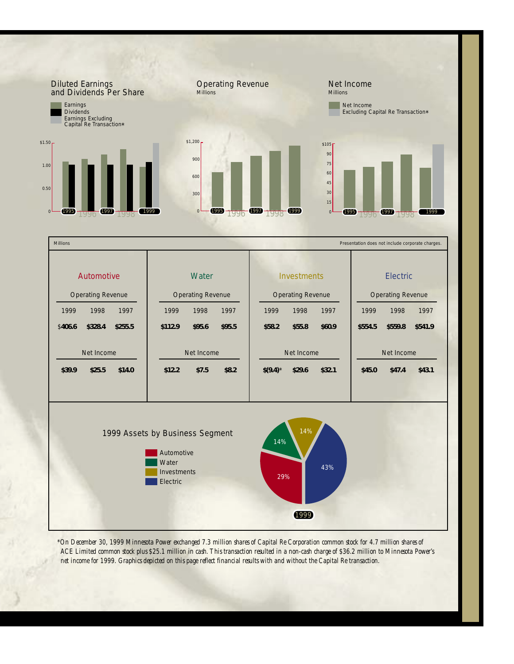

*\*On December 30, 1999 Minnesota Power exchanged 7.3 million shares of Capital Re Corporation common stock for 4.7 million shares of ACE Limited common stock plus \$25.1 million in cash. This transaction resulted in a non-cash charge of \$36.2 million to Minnesota Power's net income for 1999. Graphics depicted on this page reflect financial results with and without the Capital Re transaction.*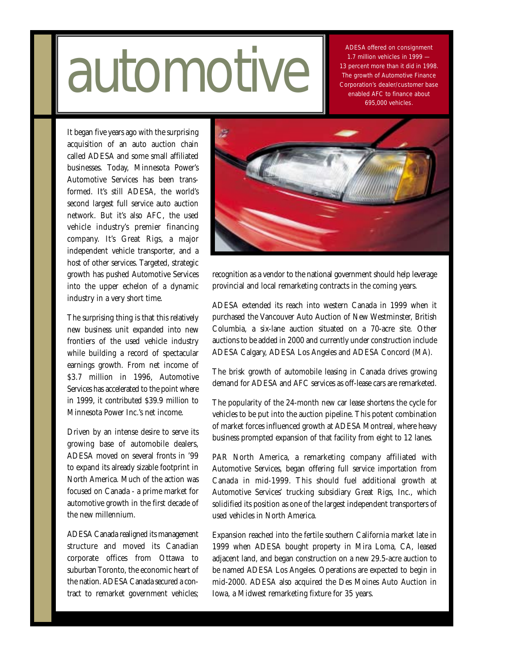## 1.7 million vehicles in 1999 –<br>13 percent more than it did in 1999<br>The growth of Automotive Finance<br>enabled AFC to finance about

ADESA offered on consignment 1.7 million vehicles in 1999 — 13 percent more than it did in 1998. The growth of Automotive Finance Corporation's dealer/customer base 695,000 vehicles.

It began five years ago with the surprising acquisition of an auto auction chain called ADESA and some small affiliated businesses. Today, Minnesota Power's Automotive Services has been transformed. It's still ADESA, the world's second largest full service auto auction network. But it's also AFC, the used vehicle industry's premier financing company. It's Great Rigs, a major independent vehicle transporter, and a host of other services. Targeted, strategic growth has pushed Automotive Services into the upper echelon of a dynamic industry in a very short time.

The surprising thing is that this relatively new business unit expanded into new frontiers of the used vehicle industry while building a record of spectacular earnings growth. From net income of \$3.7 million in 1996, Automotive Services has accelerated to the point where in 1999, it contributed \$39.9 million to Minnesota Power Inc.'s net income.

Driven by an intense desire to serve its growing base of automobile dealers, ADESA moved on several fronts in '99 to expand its already sizable footprint in North America. Much of the action was focused on Canada - a prime market for automotive growth in the first decade of the new millennium.

ADESA Canada realigned its management structure and moved its Canadian corporate offices from Ottawa to suburban Toronto, the economic heart of the nation. ADESA Canada secured a contract to remarket government vehicles;



recognition as a vendor to the national government should help leverage provincial and local remarketing contracts in the coming years.

ADESA extended its reach into western Canada in 1999 when it purchased the Vancouver Auto Auction of New Westminster, British Columbia, a six-lane auction situated on a 70-acre site. Other auctions to be added in 2000 and currently under construction include ADESA Calgary, ADESA Los Angeles and ADESA Concord (MA).

The brisk growth of automobile leasing in Canada drives growing demand for ADESA and AFC services as off-lease cars are remarketed.

The popularity of the 24-month new car lease shortens the cycle for vehicles to be put into the auction pipeline. This potent combination of market forces influenced growth at ADESA Montreal, where heavy business prompted expansion of that facility from eight to 12 lanes.

PAR North America, a remarketing company affiliated with Automotive Services, began offering full service importation from Canada in mid-1999. This should fuel additional growth at Automotive Services' trucking subsidiary Great Rigs, Inc., which solidified its position as one of the largest independent transporters of used vehicles in North America.

Expansion reached into the fertile southern California market late in 1999 when ADESA bought property in Mira Loma, CA, leased adjacent land, and began construction on a new 29.5-acre auction to be named ADESA Los Angeles. Operations are expected to begin in mid-2000. ADESA also acquired the Des Moines Auto Auction in Iowa, a Midwest remarketing fixture for 35 years.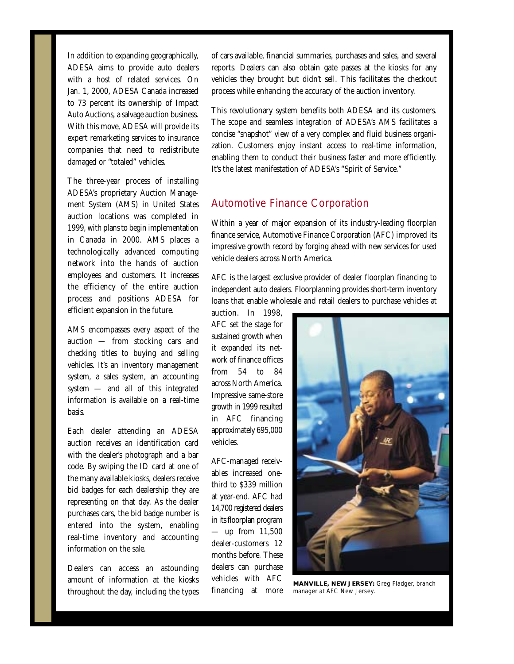In addition to expanding geographically, ADESA aims to provide auto dealers with a host of related services. On Jan. 1, 2000, ADESA Canada increased to 73 percent its ownership of Impact Auto Auctions, a salvage auction business. With this move, ADESA will provide its expert remarketing services to insurance companies that need to redistribute damaged or "totaled" vehicles.

The three-year process of installing ADESA's proprietary Auction Management System (AMS) in United States auction locations was completed in 1999, with plans to begin implementation in Canada in 2000. AMS places a technologically advanced computing network into the hands of auction employees and customers. It increases the efficiency of the entire auction process and positions ADESA for efficient expansion in the future.

AMS encompasses every aspect of the auction — from stocking cars and checking titles to buying and selling vehicles. It's an inventory management system, a sales system, an accounting system — and all of this integrated information is available on a real-time basis.

Each dealer attending an ADESA auction receives an identification card with the dealer's photograph and a bar code. By swiping the ID card at one of the many available kiosks, dealers receive bid badges for each dealership they are representing on that day. As the dealer purchases cars, the bid badge number is entered into the system, enabling real-time inventory and accounting information on the sale.

Dealers can access an astounding amount of information at the kiosks throughout the day, including the types of cars available, financial summaries, purchases and sales, and several reports. Dealers can also obtain gate passes at the kiosks for any vehicles they brought but didn't sell. This facilitates the checkout process while enhancing the accuracy of the auction inventory.

This revolutionary system benefits both ADESA and its customers. The scope and seamless integration of ADESA's AMS facilitates a concise "snapshot" view of a very complex and fluid business organization. Customers enjoy instant access to real-time information, enabling them to conduct their business faster and more efficiently. It's the latest manifestation of ADESA's "Spirit of Service."

### Automotive Finance Corporation

Within a year of major expansion of its industry-leading floorplan finance service, Automotive Finance Corporation (AFC) improved its impressive growth record by forging ahead with new services for used vehicle dealers across North America.

AFC is the largest exclusive provider of dealer floorplan financing to independent auto dealers. Floorplanning provides short-term inventory loans that enable wholesale and retail dealers to purchase vehicles at

auction. In 1998, AFC set the stage for sustained growth when it expanded its network of finance offices from 54 to 84 across North America. Impressive same-store growth in 1999 resulted in AFC financing approximately 695,000 vehicles.

AFC-managed receivables increased onethird to \$339 million at year-end. AFC had 14,700 registered dealers in its floorplan program — up from 11,500 dealer-customers 12 months before. These dealers can purchase vehicles with AFC financing at more



**MANVILLE, NEW JERSEY:** Greg Fladger, branch manager at AFC New Jersey.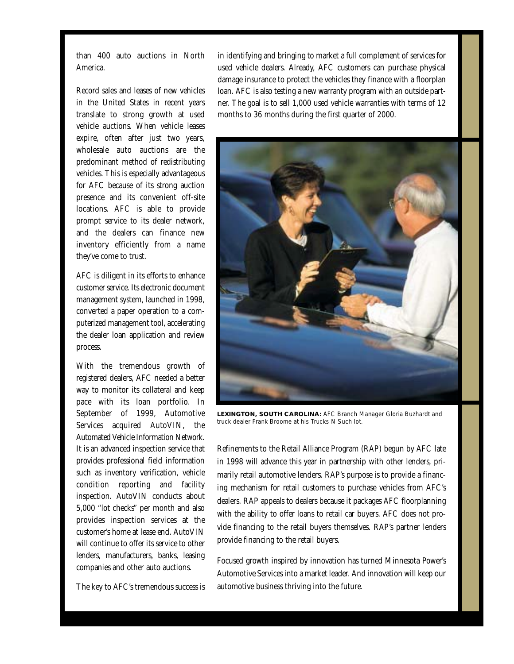than 400 auto auctions in North America.

Record sales and leases of new vehicles in the United States in recent years translate to strong growth at used vehicle auctions. When vehicle leases expire, often after just two years, wholesale auto auctions are the predominant method of redistributing vehicles. This is especially advantageous for AFC because of its strong auction presence and its convenient off-site locations. AFC is able to provide prompt service to its dealer network, and the dealers can finance new inventory efficiently from a name they've come to trust.

AFC is diligent in its efforts to enhance customer service. Its electronic document management system, launched in 1998, converted a paper operation to a computerized management tool, accelerating the dealer loan application and review process.

With the tremendous growth of registered dealers, AFC needed a better way to monitor its collateral and keep pace with its loan portfolio. In September of 1999, Automotive Services acquired AutoVIN, the Automated Vehicle Information Network. It is an advanced inspection service that provides professional field information such as inventory verification, vehicle condition reporting and facility inspection. AutoVIN conducts about 5,000 "lot checks" per month and also provides inspection services at the customer's home at lease end. AutoVIN will continue to offer its service to other lenders, manufacturers, banks, leasing companies and other auto auctions.

The key to AFC's tremendous success is

in identifying and bringing to market a full complement of services for used vehicle dealers. Already, AFC customers can purchase physical damage insurance to protect the vehicles they finance with a floorplan loan. AFC is also testing a new warranty program with an outside partner. The goal is to sell 1,000 used vehicle warranties with terms of 12 months to 36 months during the first quarter of 2000.



**LEXINGTON, SOUTH CAROLINA:** AFC Branch Manager Gloria Buzhardt and truck dealer Frank Broome at his Trucks N Such lot.

Refinements to the Retail Alliance Program (RAP) begun by AFC late in 1998 will advance this year in partnership with other lenders, primarily retail automotive lenders. RAP's purpose is to provide a financing mechanism for retail customers to purchase vehicles from AFC's dealers. RAP appeals to dealers because it packages AFC floorplanning with the ability to offer loans to retail car buyers. AFC does not provide financing to the retail buyers themselves. RAP's partner lenders provide financing to the retail buyers.

Focused growth inspired by innovation has turned Minnesota Power's Automotive Services into a market leader. And innovation will keep our automotive business thriving into the future.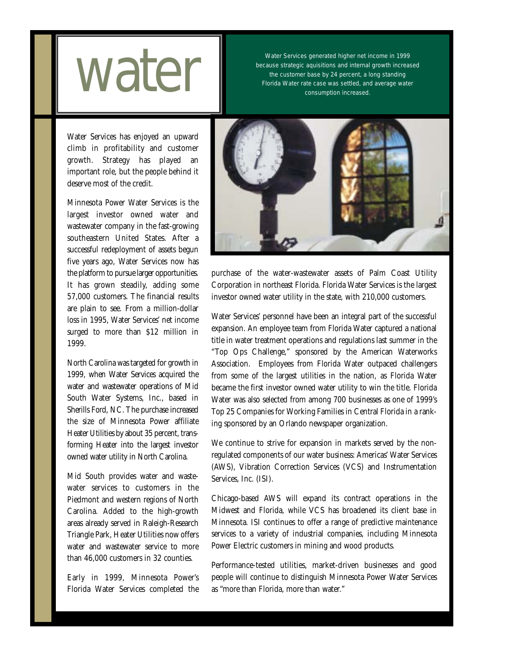

Water Services generated higher net income in 1999 because strategic aquisitions and internal growth increased the customer base by 24 percent, a long standing Water Services generated higher net income in 1999<br>because strategic aquisitions and internal growth increase<br>the customer base by 24 percent, a long standing<br>Florida Water rate case was settled, and average water<br>consumpt

Water Services has enjoyed an upward climb in profitability and customer growth. Strategy has played an important role, but the people behind it deserve most of the credit.

Minnesota Power Water Services is the largest investor owned water and wastewater company in the fast-growing southeastern United States. After a successful redeployment of assets begun five years ago, Water Services now has the platform to pursue larger opportunities. It has grown steadily, adding some 57,000 customers. The financial results are plain to see. From a million-dollar loss in 1995, Water Services' net income surged to more than \$12 million in 1999.

North Carolina was targeted for growth in 1999, when Water Services acquired the water and wastewater operations of Mid South Water Systems, Inc., based in Sherills Ford, NC. The purchase increased the size of Minnesota Power affiliate Heater Utilities by about 35 percent, transforming Heater into the largest investor owned water utility in North Carolina.

Mid South provides water and wastewater services to customers in the Piedmont and western regions of North Carolina. Added to the high-growth areas already served in Raleigh-Research Triangle Park, Heater Utilities now offers water and wastewater service to more than 46,000 customers in 32 counties.

Early in 1999, Minnesota Power's Florida Water Services completed the



purchase of the water-wastewater assets of Palm Coast Utility Corporation in northeast Florida. Florida Water Services is the largest investor owned water utility in the state, with 210,000 customers.

Water Services' personnel have been an integral part of the successful expansion. An employee team from Florida Water captured a national title in water treatment operations and regulations last summer in the "Top Ops Challenge," sponsored by the American Waterworks Association. Employees from Florida Water outpaced challengers from some of the largest utilities in the nation, as Florida Water became the first investor owned water utility to win the title. Florida Water was also selected from among 700 businesses as one of 1999's Top 25 Companies for Working Families in Central Florida in a ranking sponsored by an Orlando newspaper organization.

We continue to strive for expansion in markets served by the nonregulated components of our water business: Americas' Water Services (AWS), Vibration Correction Services (VCS) and Instrumentation Services, Inc. (ISI).

Chicago-based AWS will expand its contract operations in the Midwest and Florida, while VCS has broadened its client base in Minnesota. ISI continues to offer a range of predictive maintenance services to a variety of industrial companies, including Minnesota Power Electric customers in mining and wood products.

Performance-tested utilities, market-driven businesses and good people will continue to distinguish Minnesota Power Water Services as "more than Florida, more than water."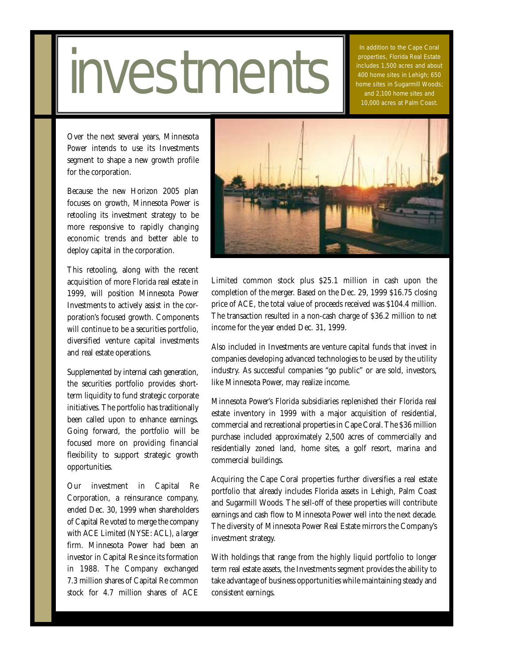### **westments**

In addition to the Cape Coral properties, Florida Real Estate includes 1,500 acres and about 400 home sites in Lehigh; 650 home sites in Sugarmill Woods; and 2,100 home sites and 10,000 acres at Palm Coast.

Over the next several years, Minnesota Power intends to use its Investments segment to shape a new growth profile for the corporation.

Because the new Horizon 2005 plan focuses on growth, Minnesota Power is retooling its investment strategy to be more responsive to rapidly changing economic trends and better able to deploy capital in the corporation.

This retooling, along with the recent acquisition of more Florida real estate in 1999, will position Minnesota Power Investments to actively assist in the corporation's focused growth. Components will continue to be a securities portfolio, diversified venture capital investments and real estate operations.

Supplemented by internal cash generation, the securities portfolio provides shortterm liquidity to fund strategic corporate initiatives. The portfolio has traditionally been called upon to enhance earnings. Going forward, the portfolio will be focused more on providing financial flexibility to support strategic growth opportunities.

Our investment in Capital Re Corporation, a reinsurance company, ended Dec. 30, 1999 when shareholders of Capital Re voted to merge the company with ACE Limited (NYSE: ACL), a larger firm. Minnesota Power had been an investor in Capital Re since its formation in 1988. The Company exchanged 7.3 million shares of Capital Re common stock for 4.7 million shares of ACE



Limited common stock plus \$25.1 million in cash upon the completion of the merger. Based on the Dec. 29, 1999 \$16.75 closing price of ACE, the total value of proceeds received was \$104.4 million. The transaction resulted in a non-cash charge of \$36.2 million to net income for the year ended Dec. 31, 1999.

Also included in Investments are venture capital funds that invest in companies developing advanced technologies to be used by the utility industry. As successful companies "go public" or are sold, investors, like Minnesota Power, may realize income.

Minnesota Power's Florida subsidiaries replenished their Florida real estate inventory in 1999 with a major acquisition of residential, commercial and recreational properties in Cape Coral. The \$36 million purchase included approximately 2,500 acres of commercially and residentially zoned land, home sites, a golf resort, marina and commercial buildings.

Acquiring the Cape Coral properties further diversifies a real estate portfolio that already includes Florida assets in Lehigh, Palm Coast and Sugarmill Woods. The sell-off of these properties will contribute earnings and cash flow to Minnesota Power well into the next decade. The diversity of Minnesota Power Real Estate mirrors the Company's investment strategy.

With holdings that range from the highly liquid portfolio to longer term real estate assets, the Investments segment provides the ability to take advantage of business opportunities while maintaining steady and consistent earnings.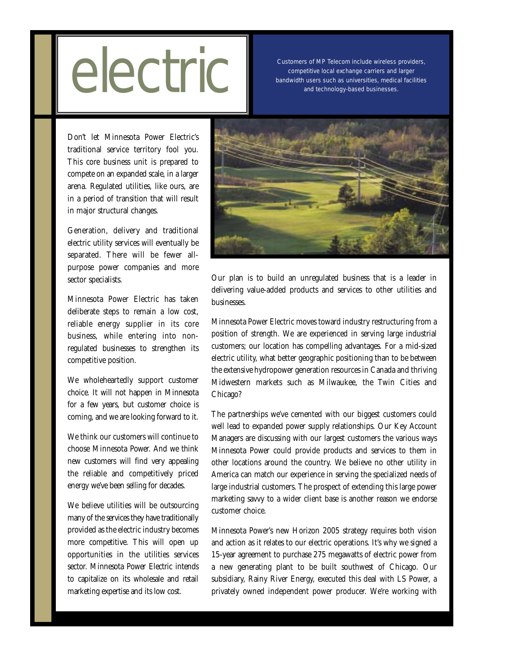## Customers of MP Telecom include wireless providers,<br>competitive local exchange carriers and larger<br>bandwidth users such as universities, medical facilities<br>and technology-based businesses.

Customers of MP Telecom include wireless providers, competitive local exchange carriers and larger

Don't let Minnesota Power Electric's traditional service territory fool you. This core business unit is prepared to compete on an expanded scale, in a larger arena. Regulated utilities, like ours, are in a period of transition that will result in major structural changes.

Generation, delivery and traditional electric utility services will eventually be separated. There will be fewer allpurpose power companies and more sector specialists.

Minnesota Power Electric has taken deliberate steps to remain a low cost, reliable energy supplier in its core business, while entering into nonregulated businesses to strengthen its competitive position.

We wholeheartedly support customer choice. It will not happen in Minnesota for a few years, but customer choice is coming, and we are looking forward to it.

We think our customers will continue to choose Minnesota Power. And we think new customers will find very appealing the reliable and competitively priced energy we've been selling for decades.

We believe utilities will be outsourcing many of the services they have traditionally provided as the electric industry becomes more competitive. This will open up opportunities in the utilities services sector. Minnesota Power Electric intends to capitalize on its wholesale and retail marketing expertise and its low cost.



Our plan is to build an unregulated business that is a leader in delivering value-added products and services to other utilities and businesses.

Minnesota Power Electric moves toward industry restructuring from a position of strength. We are experienced in serving large industrial customers; our location has compelling advantages. For a mid-sized electric utility, what better geographic positioning than to be between the extensive hydropower generation resources in Canada and thriving Midwestern markets such as Milwaukee, the Twin Cities and Chicago?

The partnerships we've cemented with our biggest customers could well lead to expanded power supply relationships. Our Key Account Managers are discussing with our largest customers the various ways Minnesota Power could provide products and services to them in other locations around the country. We believe no other utility in America can match our experience in serving the specialized needs of large industrial customers. The prospect of extending this large power marketing savvy to a wider client base is another reason we endorse customer choice.

Minnesota Power's new Horizon 2005 strategy requires both vision and action as it relates to our electric operations. It's why we signed a 15-year agreement to purchase 275 megawatts of electric power from a new generating plant to be built southwest of Chicago. Our subsidiary, Rainy River Energy, executed this deal with LS Power, a privately owned independent power producer. We're working with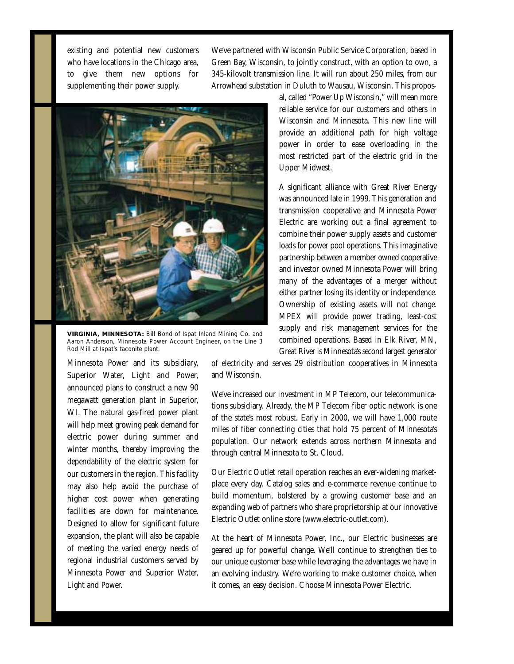existing and potential new customers who have locations in the Chicago area, to give them new options for supplementing their power supply.

We've partnered with Wisconsin Public Service Corporation, based in Green Bay, Wisconsin, to jointly construct, with an option to own, a 345-kilovolt transmission line. It will run about 250 miles, from our Arrowhead substation in Duluth to Wausau, Wisconsin. This propos-



**VIRGINIA, MINNESOTA:** Bill Bond of Ispat Inland Mining Co. and Aaron Anderson, Minnesota Power Account Engineer, on the Line 3 Rod Mill at Ispat's taconite plant.

al, called "Power Up Wisconsin," will mean more reliable service for our customers and others in Wisconsin and Minnesota. This new line will provide an additional path for high voltage power in order to ease overloading in the most restricted part of the electric grid in the Upper Midwest.

A significant alliance with Great River Energy was announced late in 1999. This generation and transmission cooperative and Minnesota Power Electric are working out a final agreement to combine their power supply assets and customer loads for power pool operations. This imaginative partnership between a member owned cooperative and investor owned Minnesota Power will bring many of the advantages of a merger without either partner losing its identity or independence. Ownership of existing assets will not change. MPEX will provide power trading, least-cost supply and risk management services for the combined operations. Based in Elk River, MN, Great River is Minnesota's second largest generator

Minnesota Power and its subsidiary, Superior Water, Light and Power, announced plans to construct a new 90 megawatt generation plant in Superior, WI. The natural gas-fired power plant will help meet growing peak demand for electric power during summer and winter months, thereby improving the dependability of the electric system for our customers in the region. This facility may also help avoid the purchase of higher cost power when generating facilities are down for maintenance. Designed to allow for significant future expansion, the plant will also be capable of meeting the varied energy needs of regional industrial customers served by Minnesota Power and Superior Water, Light and Power.

of electricity and serves 29 distribution cooperatives in Minnesota and Wisconsin.

We've increased our investment in MP Telecom, our telecommunications subsidiary. Already, the MP Telecom fiber optic network is one of the state's most robust. Early in 2000, we will have 1,000 route miles of fiber connecting cities that hold 75 percent of Minnesota's population. Our network extends across northern Minnesota and through central Minnesota to St. Cloud.

Our Electric Outlet retail operation reaches an ever-widening marketplace every day. Catalog sales and e-commerce revenue continue to build momentum, bolstered by a growing customer base and an expanding web of partners who share proprietorship at our innovative Electric Outlet online store (www.electric-outlet.com).

At the heart of Minnesota Power, Inc., our Electric businesses are geared up for powerful change. We'll continue to strengthen ties to our unique customer base while leveraging the advantages we have in an evolving industry. We're working to make customer choice, when it comes, an easy decision. Choose Minnesota Power Electric.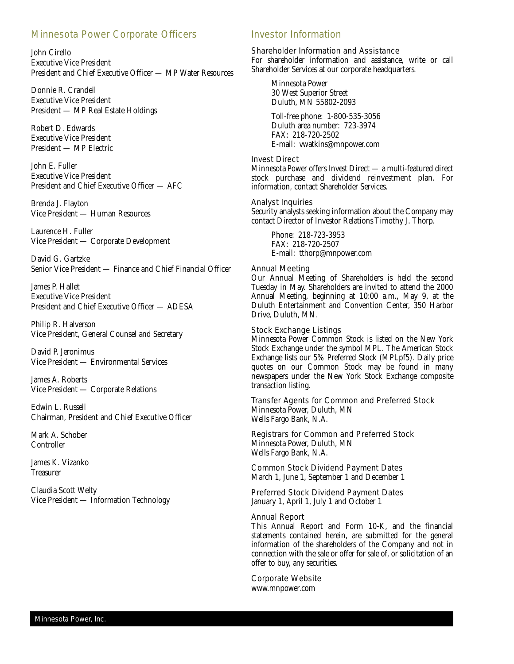### Minnesota Power Corporate Officers

John Cirello Executive Vice President President and Chief Executive Officer — MP Water Resources

Donnie R. Crandell Executive Vice President President — MP Real Estate Holdings

Robert D. Edwards Executive Vice President President — MP Electric

John E. Fuller Executive Vice President President and Chief Executive Officer — AFC

Brenda J. Flayton Vice President — Human Resources

Laurence H. Fuller Vice President — Corporate Development

David G. Gartzke Senior Vice President — Finance and Chief Financial Officer

James P. Hallet Executive Vice President President and Chief Executive Officer — ADESA

Philip R. Halverson Vice President, General Counsel and Secretary

David P. Jeronimus Vice President — Environmental Services

James A. Roberts Vice President — Corporate Relations

Edwin L. Russell Chairman, President and Chief Executive Officer

Mark A. Schober Controller

James K. Vizanko **Treasurer** 

Claudia Scott Welty Vice President — Information Technology

### Investor Information

Shareholder Information and Assistance For shareholder information and assistance, write or call Shareholder Services at our corporate headquarters.

Minnesota Power 30 West Superior Street Duluth, MN 55802-2093

Toll-free phone: 1-800-535-3056 Duluth area number: 723-3974 FAX: 218-720-2502 E-mail: vwatkins@mnpower.com

#### Invest Direct

Minnesota Power offers Invest Direct — a multi-featured direct stock purchase and dividend reinvestment plan. For information, contact Shareholder Services.

### Analyst Inquiries

Security analysts seeking information about the Company may contact Director of Investor Relations Timothy J. Thorp.

Phone: 218-723-3953 FAX: 218-720-2507 E-mail: tthorp@mnpower.com

#### Annual Meeting

Our Annual Meeting of Shareholders is held the second Tuesday in May. Shareholders are invited to attend the 2000 Annual Meeting, beginning at 10:00 a.m., May 9, at the Duluth Entertainment and Convention Center, 350 Harbor Drive, Duluth, MN.

#### Stock Exchange Listings

Minnesota Power Common Stock is listed on the New York Stock Exchange under the symbol MPL. The American Stock Exchange lists our 5% Preferred Stock (MPLpf5). Daily price quotes on our Common Stock may be found in many newspapers under the New York Stock Exchange composite transaction listing.

Transfer Agents for Common and Preferred Stock Minnesota Power, Duluth, MN Wells Fargo Bank, N.A.

Registrars for Common and Preferred Stock Minnesota Power, Duluth, MN Wells Fargo Bank, N.A.

Common Stock Dividend Payment Dates March 1, June 1, September 1 and December 1

Preferred Stock Dividend Payment Dates January 1, April 1, July 1 and October 1

### Annual Report

This Annual Report and Form 10-K, and the financial statements contained herein, are submitted for the general information of the shareholders of the Company and not in connection with the sale or offer for sale of, or solicitation of an offer to buy, any securities.

Corporate Website www.mnpower.com